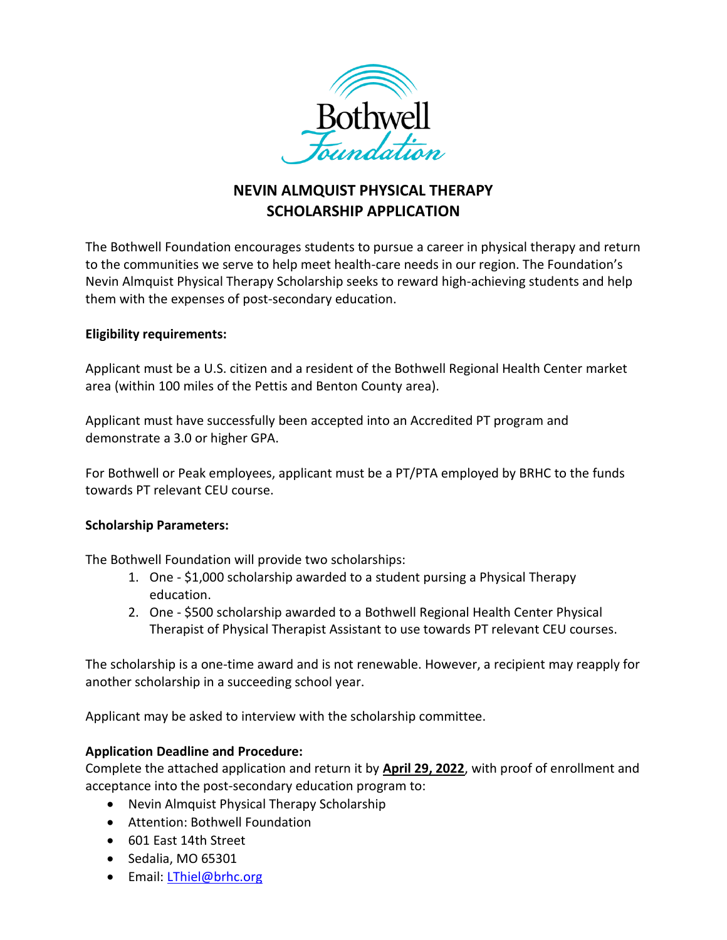

# **NEVIN ALMQUIST PHYSICAL THERAPY SCHOLARSHIP APPLICATION**

The Bothwell Foundation encourages students to pursue a career in physical therapy and return to the communities we serve to help meet health-care needs in our region. The Foundation's Nevin Almquist Physical Therapy Scholarship seeks to reward high-achieving students and help them with the expenses of post-secondary education.

### **Eligibility requirements:**

Applicant must be a U.S. citizen and a resident of the Bothwell Regional Health Center market area (within 100 miles of the Pettis and Benton County area).

Applicant must have successfully been accepted into an Accredited PT program and demonstrate a 3.0 or higher GPA.

For Bothwell or Peak employees, applicant must be a PT/PTA employed by BRHC to the funds towards PT relevant CEU course.

### **Scholarship Parameters:**

The Bothwell Foundation will provide two scholarships:

- 1. One \$1,000 scholarship awarded to a student pursing a Physical Therapy education.
- 2. One \$500 scholarship awarded to a Bothwell Regional Health Center Physical Therapist of Physical Therapist Assistant to use towards PT relevant CEU courses.

The scholarship is a one-time award and is not renewable. However, a recipient may reapply for another scholarship in a succeeding school year.

Applicant may be asked to interview with the scholarship committee.

### **Application Deadline and Procedure:**

Complete the attached application and return it by **April 29, 2022**, with proof of enrollment and acceptance into the post-secondary education program to:

- Nevin Almquist Physical Therapy Scholarship
- Attention: Bothwell Foundation
- 601 East 14th Street
- $\bullet$  Sedalia, MO 65301
- Email: [LThiel@brhc.org](mailto:LThiel@brhc.org)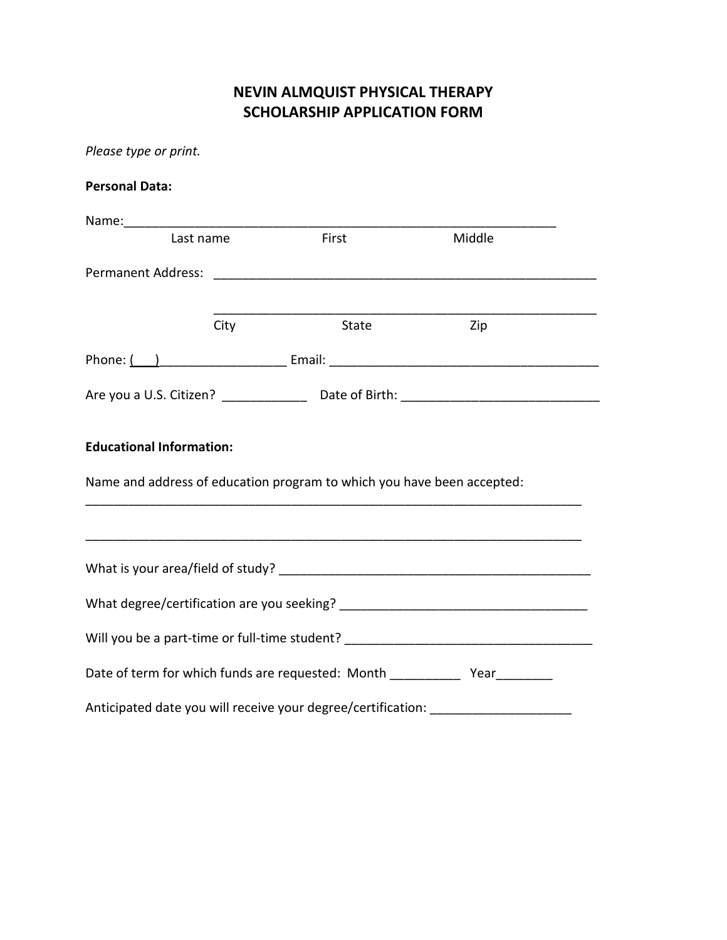## **NEVIN ALMQUIST PHYSICAL THERAPY SCHOLARSHIP APPLICATION FORM**

| Please type or print.                                                                                     |      |       |        |  |  |  |  |
|-----------------------------------------------------------------------------------------------------------|------|-------|--------|--|--|--|--|
| <b>Personal Data:</b>                                                                                     |      |       |        |  |  |  |  |
|                                                                                                           |      |       |        |  |  |  |  |
| Last name                                                                                                 |      | First | Middle |  |  |  |  |
|                                                                                                           |      |       |        |  |  |  |  |
|                                                                                                           | City | State | Zip    |  |  |  |  |
|                                                                                                           |      |       |        |  |  |  |  |
|                                                                                                           |      |       |        |  |  |  |  |
| <b>Educational Information:</b><br>Name and address of education program to which you have been accepted: |      |       |        |  |  |  |  |
|                                                                                                           |      |       |        |  |  |  |  |
|                                                                                                           |      |       |        |  |  |  |  |
| What degree/certification are you seeking?                                                                |      |       |        |  |  |  |  |
| Will you be a part-time or full-time student? __________________________________                          |      |       |        |  |  |  |  |
| Date of term for which funds are requested: Month ______________ Year__________                           |      |       |        |  |  |  |  |
| Anticipated date you will receive your degree/certification:                                              |      |       |        |  |  |  |  |